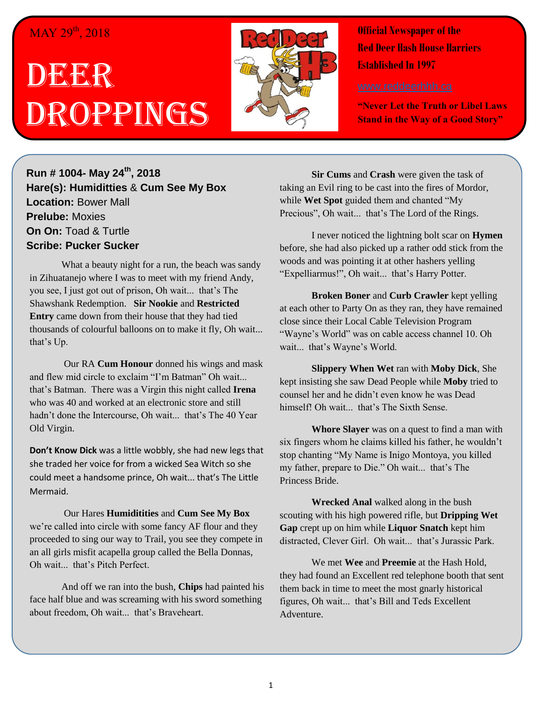## $\overline{\text{MAY}}$  29<sup>th</sup>, 2018

## DEERR Droppings



**Official Newspaper of the Red Deer Hash House Harriers Established In 1997** 

**"Never Let the Truth or Libel Laws Stand in the Way of a Good Story"**

**Run # 1004- May 24th, 2018 Hare(s): Humiditties** & **Cum See My Box Location:** Bower Mall **Prelube:** Moxies **On On:** Toad & Turtle **Scribe: Pucker Sucker**

What a beauty night for a run, the beach was sandy in Zihuatanejo where I was to meet with my friend Andy, you see, I just got out of prison, Oh wait... that's The Shawshank Redemption. **Sir Nookie** and **Restricted Entry** came down from their house that they had tied thousands of colourful balloons on to make it fly, Oh wait... that's Up.

Our RA **Cum Honour** donned his wings and mask and flew mid circle to exclaim "I'm Batman" Oh wait... that's Batman. There was a Virgin this night called **Irena**  who was 40 and worked at an electronic store and still hadn't done the Intercourse, Oh wait... that's The 40 Year Old Virgin.

**Don't Know Dick** was a little wobbly, she had new legs that she traded her voice for from a wicked Sea Witch so she could meet a handsome prince, Oh wait... that's The Little Mermaid.

Our Hares **Humiditities** and **Cum See My Box**  we're called into circle with some fancy AF flour and they proceeded to sing our way to Trail, you see they compete in an all girls misfit acapella group called the Bella Donnas, Oh wait... that's Pitch Perfect.

And off we ran into the bush, **Chips** had painted his face half blue and was screaming with his sword something about freedom, Oh wait... that's Braveheart.

**Sir Cums** and **Crash** were given the task of taking an Evil ring to be cast into the fires of Mordor, while **Wet Spot** guided them and chanted "My Precious", Oh wait... that's The Lord of the Rings.

I never noticed the lightning bolt scar on **Hymen**  before, she had also picked up a rather odd stick from the woods and was pointing it at other hashers yelling "Expelliarmus!", Oh wait... that's Harry Potter.

**Broken Boner** and **Curb Crawler** kept yelling at each other to Party On as they ran, they have remained close since their Local Cable Television Program "Wayne's World" was on cable access channel 10. Oh wait... that's Wayne's World.

**Slippery When Wet** ran with **Moby Dick**, She kept insisting she saw Dead People while **Moby** tried to counsel her and he didn't even know he was Dead himself! Oh wait... that's The Sixth Sense.

**Whore Slayer** was on a quest to find a man with six fingers whom he claims killed his father, he wouldn't stop chanting "My Name is Inigo Montoya, you killed my father, prepare to Die." Oh wait... that's The Princess Bride.

**Wrecked Anal** walked along in the bush scouting with his high powered rifle, but **Dripping Wet Gap** crept up on him while **Liquor Snatch** kept him distracted, Clever Girl. Oh wait... that's Jurassic Park.

We met **Wee** and **Preemie** at the Hash Hold, they had found an Excellent red telephone booth that sent them back in time to meet the most gnarly historical figures, Oh wait... that's Bill and Teds Excellent Adventure.